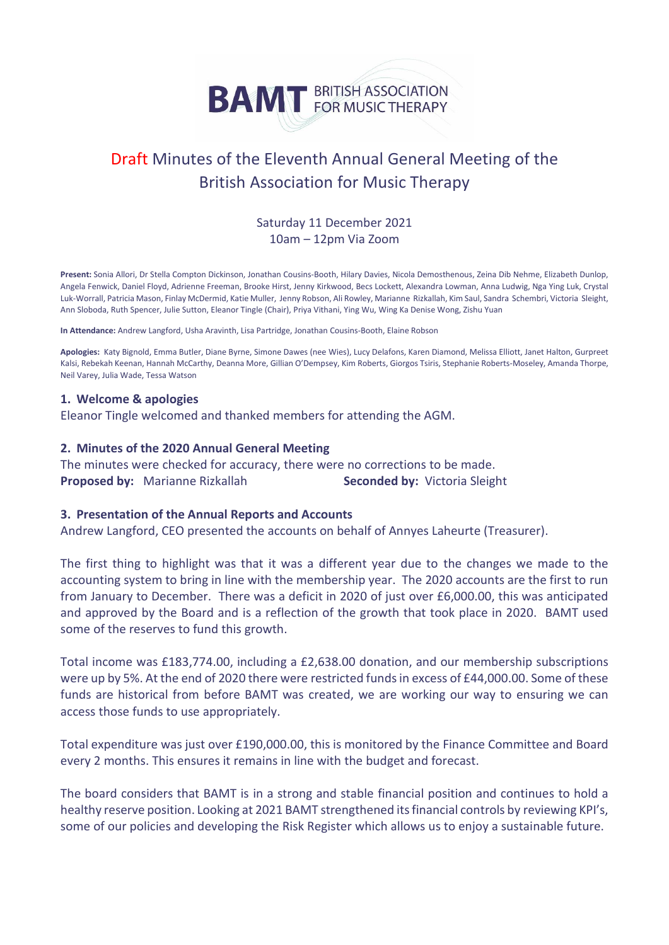

# Draft Minutes of the Eleventh Annual General Meeting of the British Association for Music Therapy

## Saturday 11 December 2021 10am – 12pm Via Zoom

**Present:** Sonia Allori, Dr Stella Compton Dickinson, Jonathan Cousins-Booth, Hilary Davies, Nicola Demosthenous, Zeina Dib Nehme, Elizabeth Dunlop, Angela Fenwick, Daniel Floyd, Adrienne Freeman, Brooke Hirst, Jenny Kirkwood, Becs Lockett, Alexandra Lowman, Anna Ludwig, Nga Ying Luk, Crystal Luk-Worrall, Patricia Mason, Finlay McDermid, Katie Muller, Jenny Robson, Ali Rowley, Marianne Rizkallah, Kim Saul, Sandra Schembri, Victoria Sleight, Ann Sloboda, Ruth Spencer, Julie Sutton, Eleanor Tingle (Chair), Priya Vithani, Ying Wu, Wing Ka Denise Wong, Zishu Yuan

**In Attendance:** Andrew Langford, Usha Aravinth, Lisa Partridge, Jonathan Cousins-Booth, Elaine Robson

**Apologies:** Katy Bignold, Emma Butler, Diane Byrne, Simone Dawes (nee Wies), Lucy Delafons, Karen Diamond, Melissa Elliott, Janet Halton, Gurpreet Kalsi, Rebekah Keenan, Hannah McCarthy, Deanna More, Gillian O'Dempsey, Kim Roberts, Giorgos Tsiris, Stephanie Roberts-Moseley, Amanda Thorpe, Neil Varey, Julia Wade, Tessa Watson

### **1. Welcome & apologies**

Eleanor Tingle welcomed and thanked members for attending the AGM.

### **2. Minutes of the 2020 Annual General Meeting**

The minutes were checked for accuracy, there were no corrections to be made. **Proposed by:** Marianne Rizkallah **Seconded by:** Victoria Sleight

#### **3. Presentation of the Annual Reports and Accounts**

Andrew Langford, CEO presented the accounts on behalf of Annyes Laheurte (Treasurer).

The first thing to highlight was that it was a different year due to the changes we made to the accounting system to bring in line with the membership year. The 2020 accounts are the first to run from January to December. There was a deficit in 2020 of just over £6,000.00, this was anticipated and approved by the Board and is a reflection of the growth that took place in 2020. BAMT used some of the reserves to fund this growth.

Total income was £183,774.00, including a £2,638.00 donation, and our membership subscriptions were up by 5%. At the end of 2020 there were restricted funds in excess of £44,000.00. Some of these funds are historical from before BAMT was created, we are working our way to ensuring we can access those funds to use appropriately.

Total expenditure was just over £190,000.00, this is monitored by the Finance Committee and Board every 2 months. This ensures it remains in line with the budget and forecast.

The board considers that BAMT is in a strong and stable financial position and continues to hold a healthy reserve position. Looking at 2021 BAMT strengthened its financial controls by reviewing KPI's, some of our policies and developing the Risk Register which allows us to enjoy a sustainable future.